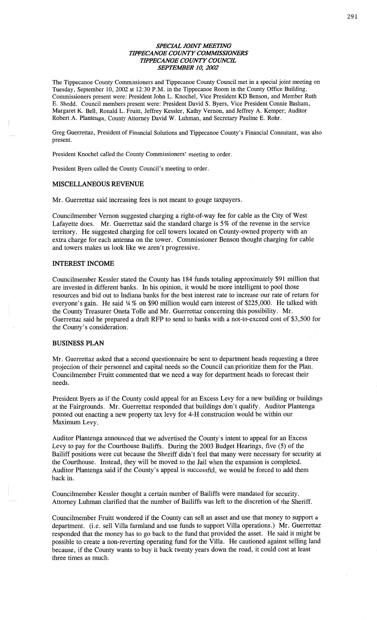#### *SPECML JOINT WETHVG*  **TIPPECANOE COUNTY COMMISSIONERS** *TIPPECANOE COUNTY COUNCE SEPTEMBER* 10, *2002*

The Tippecanoe County Commissioners and Tippecanoe County Council met in a special joint **meeting** on Tuesday, **September** 10, 2002 at 12:30 P.M. in the Tippecanoe Room in the County Office Building. **Commissioners** present were: President John L. Knochel, Vice President KD Benson, and Member Ruth E. Shedd. **Council** members present were: President **David** S. Byers, Vice President **Connie** Basham, Margaret K. Bell, Ronald L. Pruitt, Jeffrey Kessler, Kathy Vernon, and Jeffrey A. Kemper; Auditor Robert A. Plantenga, County Attorney David W. Luhman, and Secretary **Pauline** E. Rohr.

Greg Guerrettaz, President of Financial **Solutions** and Tippecanoe County's Financial Consultant, was also present.

President Knochel called the County Commissioners' meeting to order.

President Byers called the County **Council's** meeting to order.

### **MISCELLANEOUS REVENUE**

Mr. Guerrettaz said increasing fees is not meant to gouge taxpayers.

Councilmember Vernon suggested charging a right-of—way fee for cable as the City of West Lafayette does. Mr. Guerrettaz said the **standard** charge is 5% of the revenue in the service territory. He suggested charging for cell towers located on County-owned property with an extra charge for each antenna on the tower. Commissioner Benson thought charging for cable and towers makes us look like we aren't progressive.

#### **INTEREST INCOME**

Councilmember Kessler stated the County has 184 funds totaling approximately \$91 million that are invested in different banks. In his opinion, it would be more intelligent to pool those resources and bid out to Indiana banks for the best interest rate to increase our rate of return for everyone's gain. He said  $4\%$  on \$90 million would earn interest of \$225,000. He talked with the County Treasurer Oneta T0116 and Mr. Guerrettaz concerning **this** possibility. Mr. Guerrettaz **said** he prepared a draft RFP to send to banks with **a** not-to—exceed cost of \$3,500 for the County's consideration.

#### **BUSINESS PLAN**

Mr. Guerrettaz asked that a second questionnaire be sent to department heads requesting a three projection of their personnel and capital needs so the Council can prioritize them for the Plan. Councilmember Pruitt cemented that we need **a** way for department **heads** to forecast their needs.

President Byers as if the County could appeal for an Excess Levy for a new building or buildings at the Fairgrounds. Mr. Guerrettaz responded that buildings *don't* **qualify.** Auditor Plantenga pointed out enacting a new property tax levy for 4—H construction would be Within our Maximum Levy.

Auditor Plantenga announced that we advertised the County's intent to appeal for an Excess Levy to pay for the Courthouse **Bailiffs.** During the 2003 Budget Hearings, five (5) of the Bailiff positions were cut because the **Sheriff** didn't feel that many were necessary for security at the Courthouse. Instead, they will be moved to the Jail when the **expansion** is completed. Auditor Plantenga said if the County's appeal is successful, we would be forced to add them back in.

Councilmember Kessler thought a certain number of Bailiffs were mandated for security. Attorney Luhman clarified that the number of Bailiffs was left to the discretion of the Sheriff.

Councilmember Pruitt wondered if the County can sell an asset and use that money to support **<sup>a</sup>** department. **(i.e.** sell Villa farmland and use funds to support Villa operations.) Mr. Guerrettaz responded that the money has to go back to the **fund** that provided the **asset.** He said it might be possible to create a non-reverting operating **fund** for the Villa. He cautioned against selling **land**  because, if the County wants to buy it back twenty years down the road, it could cost at least three times as much.